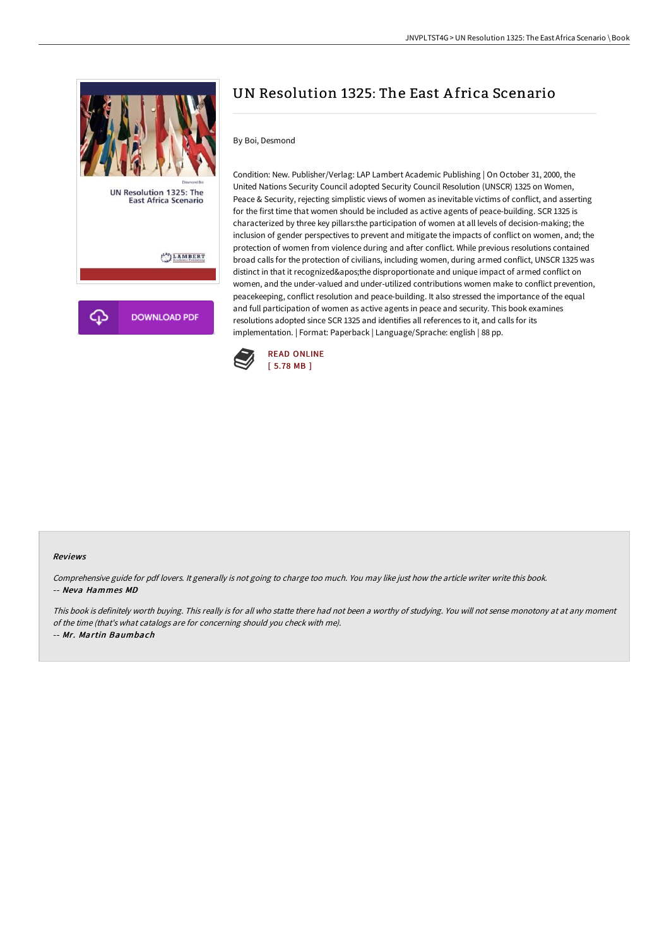

# UN Resolution 1325: The East A frica Scenario

### By Boi, Desmond

Condition: New. Publisher/Verlag: LAP Lambert Academic Publishing | On October 31, 2000, the United Nations Security Council adopted Security Council Resolution (UNSCR) 1325 on Women, Peace & Security, rejecting simplistic views of women as inevitable victims of conflict, and asserting for the first time that women should be included as active agents of peace-building. SCR 1325 is characterized by three key pillars:the participation of women at all levels of decision-making; the inclusion of gender perspectives to prevent and mitigate the impacts of conflict on women, and; the protection of women from violence during and after conflict. While previous resolutions contained broad calls for the protection of civilians, including women, during armed conflict, UNSCR 1325 was distinct in that it recognized' the disproportionate and unique impact of armed conflict on women, and the under-valued and under-utilized contributions women make to conflict prevention, peacekeeping, conflict resolution and peace-building. It also stressed the importance of the equal and full participation of women as active agents in peace and security. This book examines resolutions adopted since SCR 1325 and identifies all references to it, and calls for its implementation. | Format: Paperback | Language/Sprache: english | 88 pp.



#### Reviews

Comprehensive guide for pdf lovers. It generally is not going to charge too much. You may like just how the article writer write this book. -- Neva Hammes MD

This book is definitely worth buying. This really is for all who statte there had not been <sup>a</sup> worthy of studying. You will not sense monotony at at any moment of the time (that's what catalogs are for concerning should you check with me). -- Mr. Martin Baumbach